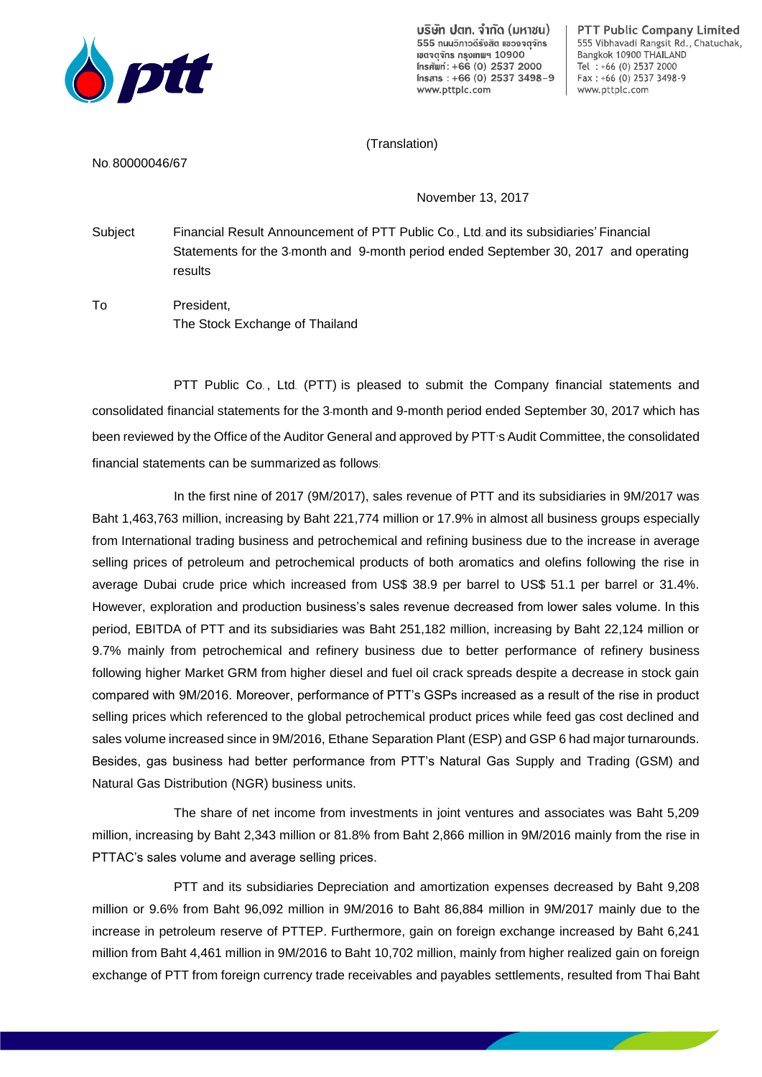

บริษัท ปตท. จำกัด (มหาชน) 555 ถนนอิกาอดีรังสิต แของจตจักร เขตจุตจักร กรุงเทแฯ 10900 Insnwn: +66 (0) 2537 2000 Insans: +66 (0) 2537 3498-9 www.pttplc.com

PTT Public Company Limited 555 Vibhavadi Rangsit Rd., Chatuchak, Bangkok 10900 THAILAND Tel: +66 (0) 2537 2000 Fax: +66 (0) 2537 3498-9 www.pttplc.com

## (Translation)

No. 80000046/67

November 13, 2017

Subject Financial Result Announcement of PTT Public Co., Ltd. and its subsidiaries' Financial Statements for the 3-month and 9-month period ended September 30, 2017 and operating results

To President, The Stock Exchange of Thailand

PTT Public Co. , Ltd. (PTT) is pleased to submit the Company financial statements and consolidated financial statements for the 3-month and 9-month period ended September 30, 2017 which has been reviewed by the Office of the Auditor General and approved by PTT's Audit Committee, the consolidated financial statements can be summarized as follows:

In the first nine of 2017 (9M/2017), sales revenue of PTT and its subsidiaries in 9M/2017 was Baht 1,463,763 million, increasing by Baht 221,774 million or 17.9% in almost all business groups especially from International trading business and petrochemical and refining business due to the increase in average selling prices of petroleum and petrochemical products of both aromatics and olefins following the rise in average Dubai crude price which increased from US\$ 38.9 per barrel to US\$ 51.1 per barrel or 31.4%. However, exploration and production business's sales revenue decreased from lower sales volume. In this period, EBITDA of PTT and its subsidiaries was Baht 251,182 million, increasing by Baht 22,124 million or 9.7% mainly from petrochemical and refinery business due to better performance of refinery business following higher Market GRM from higher diesel and fuel oil crack spreads despite a decrease in stock gain compared with 9M/2016. Moreover, performance of PTT's GSPs increased as a result of the rise in product selling prices which referenced to the global petrochemical product prices while feed gas cost declined and sales volume increased since in 9M/2016, Ethane Separation Plant (ESP) and GSP 6 had major turnarounds. Besides, gas business had better performance from PTT's Natural Gas Supply and Trading (GSM) and Natural Gas Distribution (NGR) business units.

The share of net income from investments in joint ventures and associates was Baht 5,209 million, increasing by Baht 2,343 million or 81.8% from Baht 2,866 million in 9M/2016 mainly from the rise in PTTAC's sales volume and average selling prices.

PTT and its subsidiaries Depreciation and amortization expenses decreased by Baht 9,208 million or 9.6% from Baht 96,092 million in 9M/2016 to Baht 86,884 million in 9M/2017 mainly due to the increase in petroleum reserve of PTTEP. Furthermore, gain on foreign exchange increased by Baht 6,241 million from Baht 4,461 million in 9M/2016 to Baht 10,702 million, mainly from higher realized gain on foreign exchange of PTT from foreign currency trade receivables and payables settlements, resulted from Thai Baht